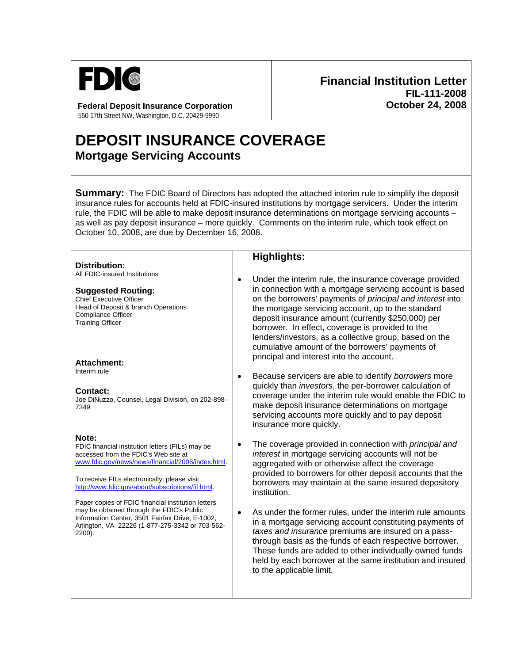

**Federal Deposit Insurance Corporation**  550 17th Street NW, Washington, D.C. 20429-9990

## **Financial Institution Letter FIL-111-2008 October 24, 2008**

## **DEPOSIT INSURANCE COVERAGE Mortgage Servicing Accounts**

**Summary:** The FDIC Board of Directors has adopted the attached interim rule to simplify the deposit insurance rules for accounts held at FDIC-insured institutions by mortgage servicers. Under the interim rule, the FDIC will be able to make deposit insurance determinations on mortgage servicing accounts – as well as pay deposit insurance – more quickly. Comments on the interim rule, which took effect on October 10, 2008, are due by December 16, 2008.

|                                                                                                                                                                                                                                                                                                                                                                                                                                                                                | <b>Highlights:</b>                                                                                                                                                                                                                                                                                                                                                                                                                                                                                                                                                                                                                                                                                                                      |
|--------------------------------------------------------------------------------------------------------------------------------------------------------------------------------------------------------------------------------------------------------------------------------------------------------------------------------------------------------------------------------------------------------------------------------------------------------------------------------|-----------------------------------------------------------------------------------------------------------------------------------------------------------------------------------------------------------------------------------------------------------------------------------------------------------------------------------------------------------------------------------------------------------------------------------------------------------------------------------------------------------------------------------------------------------------------------------------------------------------------------------------------------------------------------------------------------------------------------------------|
| <b>Distribution:</b><br>All FDIC-insured Institutions<br><b>Suggested Routing:</b><br><b>Chief Executive Officer</b><br>Head of Deposit & branch Operations<br><b>Compliance Officer</b><br><b>Training Officer</b><br><b>Attachment:</b>                                                                                                                                                                                                                                      | Under the interim rule, the insurance coverage provided<br>$\bullet$<br>in connection with a mortgage servicing account is based<br>on the borrowers' payments of principal and interest into<br>the mortgage servicing account, up to the standard<br>deposit insurance amount (currently \$250,000) per<br>borrower. In effect, coverage is provided to the<br>lenders/investors, as a collective group, based on the<br>cumulative amount of the borrowers' payments of<br>principal and interest into the account.                                                                                                                                                                                                                  |
| Interim rule<br><b>Contact:</b><br>Joe DiNuzzo, Counsel, Legal Division, on 202-898-<br>7349                                                                                                                                                                                                                                                                                                                                                                                   | Because servicers are able to identify borrowers more<br>$\bullet$<br>quickly than <i>investors</i> , the per-borrower calculation of<br>coverage under the interim rule would enable the FDIC to<br>make deposit insurance determinations on mortgage<br>servicing accounts more quickly and to pay deposit<br>insurance more quickly.                                                                                                                                                                                                                                                                                                                                                                                                 |
| Note:<br>FDIC financial institution letters (FILs) may be<br>accessed from the FDIC's Web site at<br>www.fdic.gov/news/news/financial/2008/index.html.<br>To receive FILs electronically, please visit<br>http://www.fdic.gov/about/subscriptions/fil.html.<br>Paper copies of FDIC financial institution letters<br>may be obtained through the FDIC's Public<br>Information Center, 3501 Fairfax Drive, E-1002,<br>Arlington, VA 22226 (1-877-275-3342 or 703-562-<br>2200). | The coverage provided in connection with <i>principal and</i><br>$\bullet$<br>interest in mortgage servicing accounts will not be<br>aggregated with or otherwise affect the coverage<br>provided to borrowers for other deposit accounts that the<br>borrowers may maintain at the same insured depository<br>institution.<br>As under the former rules, under the interim rule amounts<br>$\bullet$<br>in a mortgage servicing account constituting payments of<br>taxes and insurance premiums are insured on a pass-<br>through basis as the funds of each respective borrower.<br>These funds are added to other individually owned funds<br>held by each borrower at the same institution and insured<br>to the applicable limit. |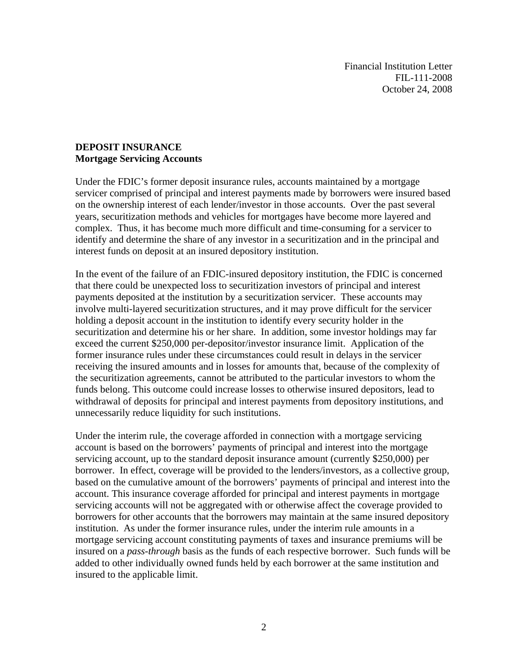Financial Institution Letter FIL-111-2008 October 24, 2008

## **DEPOSIT INSURANCE Mortgage Servicing Accounts**

Under the FDIC's former deposit insurance rules, accounts maintained by a mortgage servicer comprised of principal and interest payments made by borrowers were insured based on the ownership interest of each lender/investor in those accounts. Over the past several years, securitization methods and vehicles for mortgages have become more layered and complex. Thus, it has become much more difficult and time-consuming for a servicer to identify and determine the share of any investor in a securitization and in the principal and interest funds on deposit at an insured depository institution.

In the event of the failure of an FDIC-insured depository institution, the FDIC is concerned that there could be unexpected loss to securitization investors of principal and interest payments deposited at the institution by a securitization servicer. These accounts may involve multi-layered securitization structures, and it may prove difficult for the servicer holding a deposit account in the institution to identify every security holder in the securitization and determine his or her share. In addition, some investor holdings may far exceed the current \$250,000 per-depositor/investor insurance limit. Application of the former insurance rules under these circumstances could result in delays in the servicer receiving the insured amounts and in losses for amounts that, because of the complexity of the securitization agreements, cannot be attributed to the particular investors to whom the funds belong. This outcome could increase losses to otherwise insured depositors, lead to withdrawal of deposits for principal and interest payments from depository institutions, and unnecessarily reduce liquidity for such institutions.

Under the interim rule, the coverage afforded in connection with a mortgage servicing account is based on the borrowers' payments of principal and interest into the mortgage servicing account, up to the standard deposit insurance amount (currently \$250,000) per borrower. In effect, coverage will be provided to the lenders/investors, as a collective group, based on the cumulative amount of the borrowers' payments of principal and interest into the account. This insurance coverage afforded for principal and interest payments in mortgage servicing accounts will not be aggregated with or otherwise affect the coverage provided to borrowers for other accounts that the borrowers may maintain at the same insured depository institution. As under the former insurance rules, under the interim rule amounts in a mortgage servicing account constituting payments of taxes and insurance premiums will be insured on a *pass-through* basis as the funds of each respective borrower. Such funds will be added to other individually owned funds held by each borrower at the same institution and insured to the applicable limit.